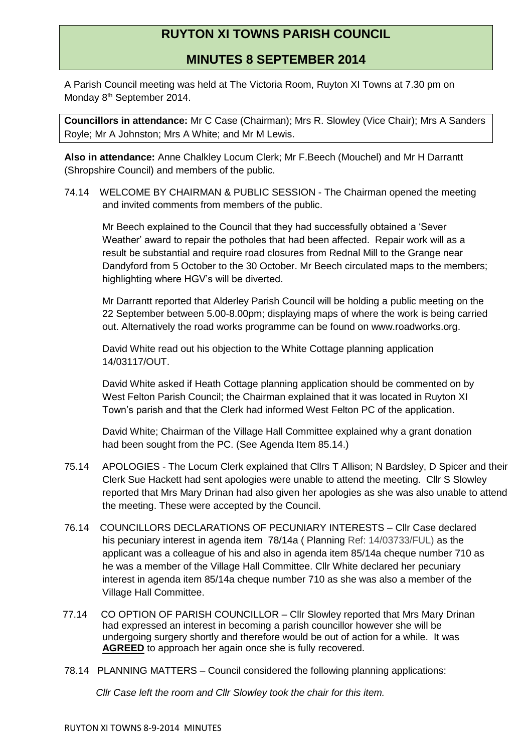## **RUYTON XI TOWNS PARISH COUNCIL**

**MINUTES 8 SEPTEMBER 2014**

A Parish Council meeting was held at The Victoria Room, Ruyton XI Towns at 7.30 pm on Monday 8<sup>th</sup> September 2014.

**Councillors in attendance:** Mr C Case (Chairman); Mrs R. Slowley (Vice Chair); Mrs A Sanders Royle; Mr A Johnston; Mrs A White; and Mr M Lewis.

**Also in attendance:** Anne Chalkley Locum Clerk; Mr F.Beech (Mouchel) and Mr H Darrantt (Shropshire Council) and members of the public.

74.14 WELCOME BY CHAIRMAN & PUBLIC SESSION - The Chairman opened the meeting and invited comments from members of the public.

Mr Beech explained to the Council that they had successfully obtained a 'Sever Weather' award to repair the potholes that had been affected. Repair work will as a result be substantial and require road closures from Rednal Mill to the Grange near Dandyford from 5 October to the 30 October. Mr Beech circulated maps to the members; highlighting where HGV's will be diverted.

Mr Darrantt reported that Alderley Parish Council will be holding a public meeting on the 22 September between 5.00-8.00pm; displaying maps of where the work is being carried out. Alternatively the road works programme can be found on www.roadworks.org.

David White read out his objection to the White Cottage planning application 14/03117/OUT.

David White asked if Heath Cottage planning application should be commented on by West Felton Parish Council; the Chairman explained that it was located in Ruyton XI Town's parish and that the Clerk had informed West Felton PC of the application.

David White; Chairman of the Village Hall Committee explained why a grant donation had been sought from the PC. (See Agenda Item 85.14.)

- 75.14 APOLOGIES The Locum Clerk explained that Cllrs T Allison; N Bardsley, D Spicer and their Clerk Sue Hackett had sent apologies were unable to attend the meeting. Cllr S Slowley reported that Mrs Mary Drinan had also given her apologies as she was also unable to attend the meeting. These were accepted by the Council.
- 76.14 COUNCILLORS DECLARATIONS OF PECUNIARY INTERESTS Cllr Case declared his pecuniary interest in agenda item 78/14a ( Planning Ref: 14/03733/FUL) as the applicant was a colleague of his and also in agenda item 85/14a cheque number 710 as he was a member of the Village Hall Committee. Cllr White declared her pecuniary interest in agenda item 85/14a cheque number 710 as she was also a member of the Village Hall Committee.
- 77.14 CO OPTION OF PARISH COUNCILLOR Cllr Slowley reported that Mrs Mary Drinan had expressed an interest in becoming a parish councillor however she will be undergoing surgery shortly and therefore would be out of action for a while. It was **AGREED** to approach her again once she is fully recovered.
- 78.14 PLANNING MATTERS Council considered the following planning applications:

*Cllr Case left the room and Cllr Slowley took the chair for this item.*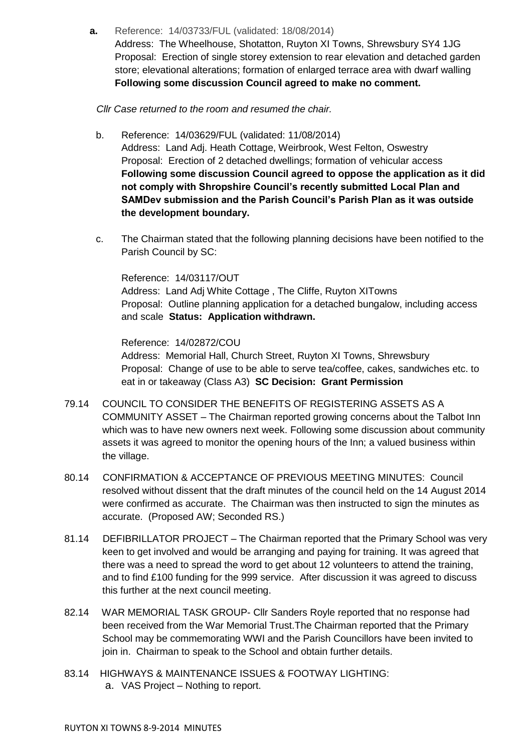**a.** Reference: 14/03733/FUL (validated: 18/08/2014)

Address: The Wheelhouse, Shotatton, Ruyton XI Towns, Shrewsbury SY4 1JG Proposal: Erection of single storey extension to rear elevation and detached garden store; elevational alterations; formation of enlarged terrace area with dwarf walling **Following some discussion Council agreed to make no comment.**

*Cllr Case returned to the room and resumed the chair.*

- b. Reference: 14/03629/FUL (validated: 11/08/2014) Address: Land Adj. Heath Cottage, Weirbrook, West Felton, Oswestry Proposal: Erection of 2 detached dwellings; formation of vehicular access **Following some discussion Council agreed to oppose the application as it did not comply with Shropshire Council's recently submitted Local Plan and SAMDev submission and the Parish Council's Parish Plan as it was outside the development boundary.**
- c. The Chairman stated that the following planning decisions have been notified to the Parish Council by SC:

Reference: 14/03117/OUT Address: Land Adj White Cottage , The Cliffe, Ruyton XITowns Proposal: Outline planning application for a detached bungalow, including access and scale **Status: Application withdrawn.**

Reference: 14/02872/COU Address: Memorial Hall, Church Street, Ruyton XI Towns, Shrewsbury Proposal: Change of use to be able to serve tea/coffee, cakes, sandwiches etc. to eat in or takeaway (Class A3) **SC Decision: Grant Permission**

- 79.14 COUNCIL TO CONSIDER THE BENEFITS OF REGISTERING ASSETS AS A COMMUNITY ASSET – The Chairman reported growing concerns about the Talbot Inn which was to have new owners next week. Following some discussion about community assets it was agreed to monitor the opening hours of the Inn; a valued business within the village.
- 80.14 CONFIRMATION & ACCEPTANCE OF PREVIOUS MEETING MINUTES: Council resolved without dissent that the draft minutes of the council held on the 14 August 2014 were confirmed as accurate. The Chairman was then instructed to sign the minutes as accurate. (Proposed AW; Seconded RS.)
- 81.14 DEFIBRILLATOR PROJECT The Chairman reported that the Primary School was very keen to get involved and would be arranging and paying for training. It was agreed that there was a need to spread the word to get about 12 volunteers to attend the training, and to find £100 funding for the 999 service. After discussion it was agreed to discuss this further at the next council meeting.
- 82.14 WAR MEMORIAL TASK GROUP- Cllr Sanders Royle reported that no response had been received from the War Memorial Trust.The Chairman reported that the Primary School may be commemorating WWI and the Parish Councillors have been invited to join in. Chairman to speak to the School and obtain further details.
- 83.14 HIGHWAYS & MAINTENANCE ISSUES & FOOTWAY LIGHTING: a. VAS Project – Nothing to report.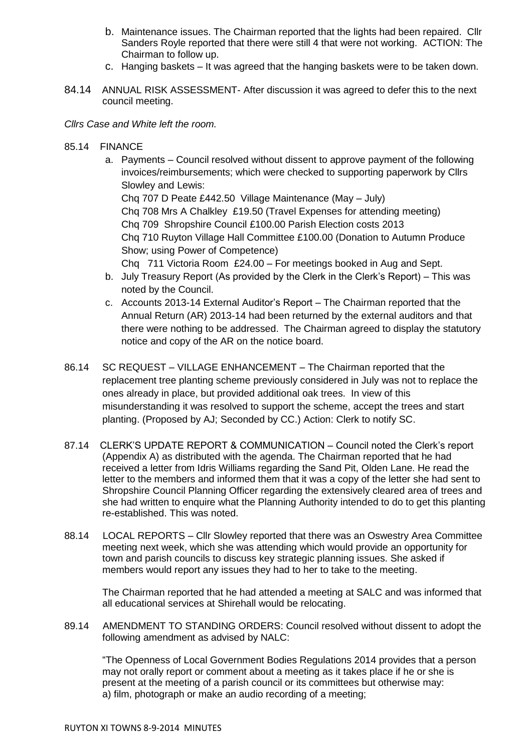- b. Maintenance issues. The Chairman reported that the lights had been repaired. Cllr Sanders Royle reported that there were still 4 that were not working. ACTION: The Chairman to follow up.
- c. Hanging baskets It was agreed that the hanging baskets were to be taken down.
- 84.14 ANNUAL RISK ASSESSMENT- After discussion it was agreed to defer this to the next council meeting.

## *Cllrs Case and White left the room.*

85.14 FINANCE

a. Payments – Council resolved without dissent to approve payment of the following invoices/reimbursements; which were checked to supporting paperwork by Cllrs Slowley and Lewis: Chq 707 D Peate £442.50 Village Maintenance (May – July) Chq 708 Mrs A Chalkley £19.50 (Travel Expenses for attending meeting) Chq 709 Shropshire Council £100.00 Parish Election costs 2013 Chq 710 Ruyton Village Hall Committee £100.00 (Donation to Autumn Produce Show; using Power of Competence)

Chq 711 Victoria Room £24.00 – For meetings booked in Aug and Sept.

- b. July Treasury Report (As provided by the Clerk in the Clerk's Report) This was noted by the Council.
- c. Accounts 2013-14 External Auditor's Report The Chairman reported that the Annual Return (AR) 2013-14 had been returned by the external auditors and that there were nothing to be addressed. The Chairman agreed to display the statutory notice and copy of the AR on the notice board.
- 86.14 SC REQUEST VILLAGE ENHANCEMENT The Chairman reported that the replacement tree planting scheme previously considered in July was not to replace the ones already in place, but provided additional oak trees. In view of this misunderstanding it was resolved to support the scheme, accept the trees and start planting. (Proposed by AJ; Seconded by CC.) Action: Clerk to notify SC.
- 87.14 CLERK'S UPDATE REPORT & COMMUNICATION Council noted the Clerk's report (Appendix A) as distributed with the agenda. The Chairman reported that he had received a letter from Idris Williams regarding the Sand Pit, Olden Lane. He read the letter to the members and informed them that it was a copy of the letter she had sent to Shropshire Council Planning Officer regarding the extensively cleared area of trees and she had written to enquire what the Planning Authority intended to do to get this planting re-established. This was noted.
- 88.14 LOCAL REPORTS Cllr Slowley reported that there was an Oswestry Area Committee meeting next week, which she was attending which would provide an opportunity for town and parish councils to discuss key strategic planning issues. She asked if members would report any issues they had to her to take to the meeting.

The Chairman reported that he had attended a meeting at SALC and was informed that all educational services at Shirehall would be relocating.

89.14 AMENDMENT TO STANDING ORDERS: Council resolved without dissent to adopt the following amendment as advised by NALC:

"The Openness of Local Government Bodies Regulations 2014 provides that a person may not orally report or comment about a meeting as it takes place if he or she is present at the meeting of a parish council or its committees but otherwise may: a) film, photograph or make an audio recording of a meeting;